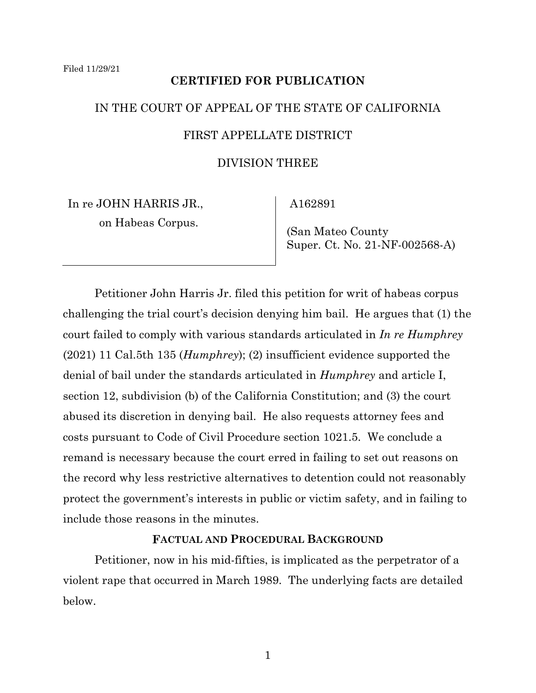### **CERTIFIED FOR PUBLICATION**

# IN THE COURT OF APPEAL OF THE STATE OF CALIFORNIA FIRST APPELLATE DISTRICT

#### DIVISION THREE

In re JOHN HARRIS JR., on Habeas Corpus.

A162891

 (San Mateo County Super. Ct. No. 21-NF-002568-A)

Petitioner John Harris Jr. filed this petition for writ of habeas corpus challenging the trial court's decision denying him bail. He argues that (1) the court failed to comply with various standards articulated in *In re Humphrey*  (2021) 11 Cal.5th 135 (*Humphrey*); (2) insufficient evidence supported the denial of bail under the standards articulated in *Humphrey* and article I, section 12, subdivision (b) of the California Constitution; and (3) the court abused its discretion in denying bail. He also requests attorney fees and costs pursuant to Code of Civil Procedure section 1021.5. We conclude a remand is necessary because the court erred in failing to set out reasons on the record why less restrictive alternatives to detention could not reasonably protect the government's interests in public or victim safety, and in failing to include those reasons in the minutes.

## **FACTUAL AND PROCEDURAL BACKGROUND**

Petitioner, now in his mid-fifties, is implicated as the perpetrator of a violent rape that occurred in March 1989. The underlying facts are detailed below.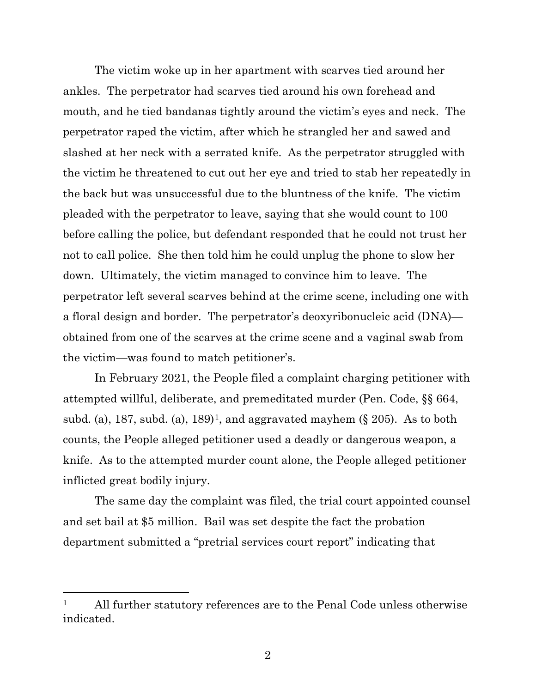The victim woke up in her apartment with scarves tied around her ankles. The perpetrator had scarves tied around his own forehead and mouth, and he tied bandanas tightly around the victim's eyes and neck. The perpetrator raped the victim, after which he strangled her and sawed and slashed at her neck with a serrated knife. As the perpetrator struggled with the victim he threatened to cut out her eye and tried to stab her repeatedly in the back but was unsuccessful due to the bluntness of the knife. The victim pleaded with the perpetrator to leave, saying that she would count to 100 before calling the police, but defendant responded that he could not trust her not to call police. She then told him he could unplug the phone to slow her down. Ultimately, the victim managed to convince him to leave. The perpetrator left several scarves behind at the crime scene, including one with a floral design and border. The perpetrator's deoxyribonucleic acid (DNA) obtained from one of the scarves at the crime scene and a vaginal swab from the victim—was found to match petitioner's.

In February 2021, the People filed a complaint charging petitioner with attempted willful, deliberate, and premeditated murder (Pen. Code, §§ 664, subd. (a), [1](#page-1-0)87, subd. (a), 189<sup> $\pm$ </sup>, and aggravated mayhem (§ 205). As to both counts, the People alleged petitioner used a deadly or dangerous weapon, a knife. As to the attempted murder count alone, the People alleged petitioner inflicted great bodily injury.

The same day the complaint was filed, the trial court appointed counsel and set bail at \$5 million. Bail was set despite the fact the probation department submitted a "pretrial services court report" indicating that

<span id="page-1-0"></span><sup>1</sup> All further statutory references are to the Penal Code unless otherwise indicated.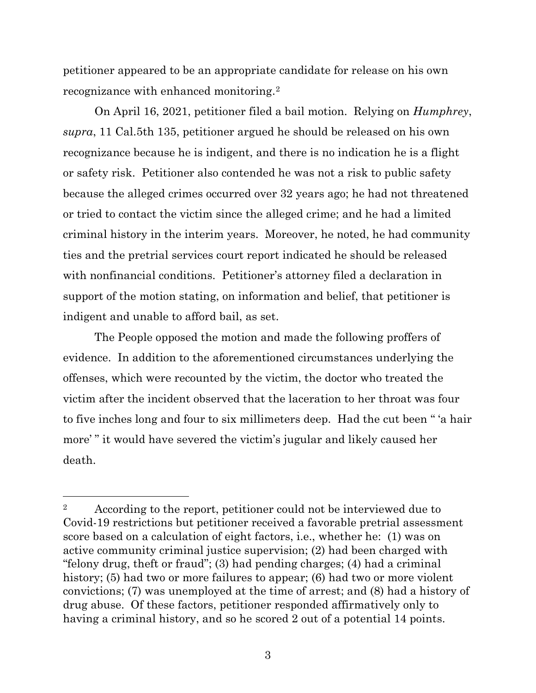petitioner appeared to be an appropriate candidate for release on his own recognizance with enhanced monitoring.[2](#page-2-0)

On April 16, 2021, petitioner filed a bail motion. Relying on *Humphrey*, *supra*, 11 Cal.5th 135, petitioner argued he should be released on his own recognizance because he is indigent, and there is no indication he is a flight or safety risk. Petitioner also contended he was not a risk to public safety because the alleged crimes occurred over 32 years ago; he had not threatened or tried to contact the victim since the alleged crime; and he had a limited criminal history in the interim years. Moreover, he noted, he had community ties and the pretrial services court report indicated he should be released with nonfinancial conditions. Petitioner's attorney filed a declaration in support of the motion stating, on information and belief, that petitioner is indigent and unable to afford bail, as set.

The People opposed the motion and made the following proffers of evidence. In addition to the aforementioned circumstances underlying the offenses, which were recounted by the victim, the doctor who treated the victim after the incident observed that the laceration to her throat was four to five inches long and four to six millimeters deep. Had the cut been " 'a hair more' " it would have severed the victim's jugular and likely caused her death.

<span id="page-2-0"></span><sup>&</sup>lt;sup>2</sup> According to the report, petitioner could not be interviewed due to Covid-19 restrictions but petitioner received a favorable pretrial assessment score based on a calculation of eight factors, i.e., whether he: (1) was on active community criminal justice supervision; (2) had been charged with "felony drug, theft or fraud"; (3) had pending charges; (4) had a criminal history; (5) had two or more failures to appear; (6) had two or more violent convictions; (7) was unemployed at the time of arrest; and (8) had a history of drug abuse. Of these factors, petitioner responded affirmatively only to having a criminal history, and so he scored 2 out of a potential 14 points.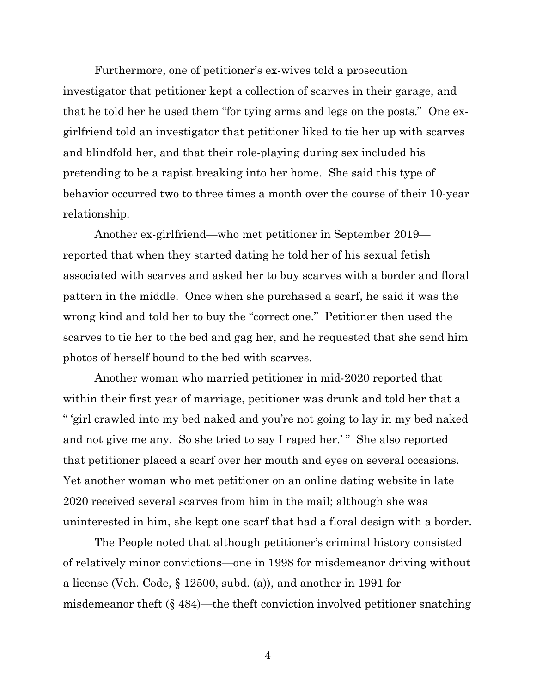Furthermore, one of petitioner's ex-wives told a prosecution investigator that petitioner kept a collection of scarves in their garage, and that he told her he used them "for tying arms and legs on the posts." One exgirlfriend told an investigator that petitioner liked to tie her up with scarves and blindfold her, and that their role-playing during sex included his pretending to be a rapist breaking into her home. She said this type of behavior occurred two to three times a month over the course of their 10-year relationship.

Another ex-girlfriend—who met petitioner in September 2019 reported that when they started dating he told her of his sexual fetish associated with scarves and asked her to buy scarves with a border and floral pattern in the middle. Once when she purchased a scarf, he said it was the wrong kind and told her to buy the "correct one." Petitioner then used the scarves to tie her to the bed and gag her, and he requested that she send him photos of herself bound to the bed with scarves.

Another woman who married petitioner in mid-2020 reported that within their first year of marriage, petitioner was drunk and told her that a " 'girl crawled into my bed naked and you're not going to lay in my bed naked and not give me any. So she tried to say I raped her.'" She also reported that petitioner placed a scarf over her mouth and eyes on several occasions. Yet another woman who met petitioner on an online dating website in late 2020 received several scarves from him in the mail; although she was uninterested in him, she kept one scarf that had a floral design with a border.

The People noted that although petitioner's criminal history consisted of relatively minor convictions—one in 1998 for misdemeanor driving without a license (Veh. Code, § 12500, subd. (a)), and another in 1991 for misdemeanor theft (§ 484)—the theft conviction involved petitioner snatching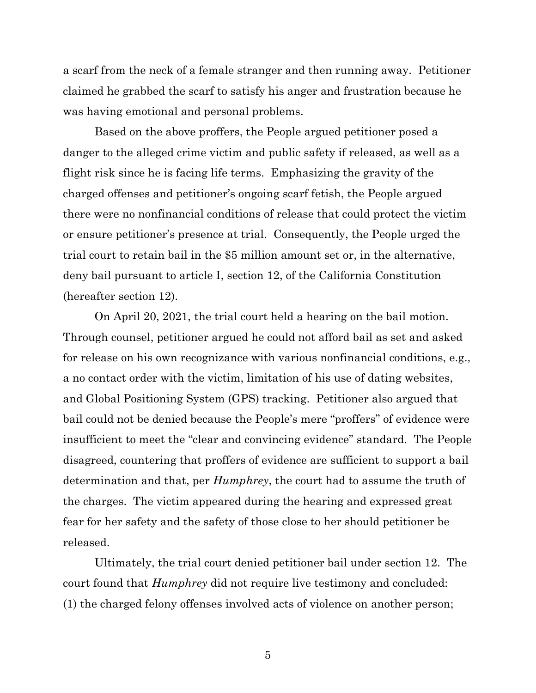a scarf from the neck of a female stranger and then running away. Petitioner claimed he grabbed the scarf to satisfy his anger and frustration because he was having emotional and personal problems.

Based on the above proffers, the People argued petitioner posed a danger to the alleged crime victim and public safety if released, as well as a flight risk since he is facing life terms. Emphasizing the gravity of the charged offenses and petitioner's ongoing scarf fetish, the People argued there were no nonfinancial conditions of release that could protect the victim or ensure petitioner's presence at trial. Consequently, the People urged the trial court to retain bail in the \$5 million amount set or, in the alternative, deny bail pursuant to article I, section 12, of the California Constitution (hereafter section 12).

On April 20, 2021, the trial court held a hearing on the bail motion. Through counsel, petitioner argued he could not afford bail as set and asked for release on his own recognizance with various nonfinancial conditions, e.g., a no contact order with the victim, limitation of his use of dating websites, and Global Positioning System (GPS) tracking. Petitioner also argued that bail could not be denied because the People's mere "proffers" of evidence were insufficient to meet the "clear and convincing evidence" standard. The People disagreed, countering that proffers of evidence are sufficient to support a bail determination and that, per *Humphrey*, the court had to assume the truth of the charges. The victim appeared during the hearing and expressed great fear for her safety and the safety of those close to her should petitioner be released.

Ultimately, the trial court denied petitioner bail under section 12. The court found that *Humphrey* did not require live testimony and concluded: (1) the charged felony offenses involved acts of violence on another person;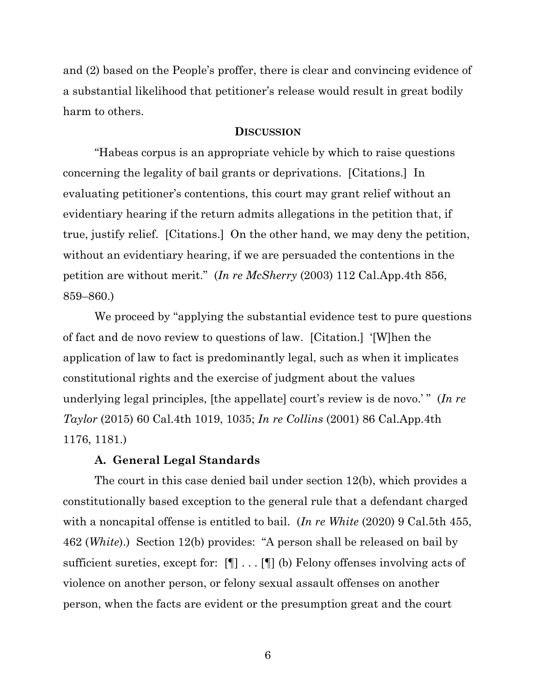and (2) based on the People's proffer, there is clear and convincing evidence of a substantial likelihood that petitioner's release would result in great bodily harm to others.

#### **DISCUSSION**

"Habeas corpus is an appropriate vehicle by which to raise questions concerning the legality of bail grants or deprivations. [Citations.] In evaluating petitioner's contentions, this court may grant relief without an evidentiary hearing if the return admits allegations in the petition that, if true, justify relief. [Citations.] On the other hand, we may deny the petition, without an evidentiary hearing, if we are persuaded the contentions in the petition are without merit." (*In re McSherry* (2003) 112 Cal.App.4th 856, 859–860.)

We proceed by "applying the substantial evidence test to pure questions of fact and de novo review to questions of law. [Citation.] '[W]hen the application of law to fact is predominantly legal, such as when it implicates constitutional rights and the exercise of judgment about the values underlying legal principles, [the appellate] court's review is de novo.' " (*In re Taylor* (2015) 60 Cal.4th 1019, 1035; *In re Collins* (2001) 86 Cal.App.4th 1176, 1181.)

#### **A. General Legal Standards**

The court in this case denied bail under section 12(b), which provides a constitutionally based exception to the general rule that a defendant charged with a noncapital offense is entitled to bail. (*In re White* (2020) 9 Cal.5th 455, 462 (*White*).) Section 12(b) provides: "A person shall be released on bail by sufficient sureties, except for: [¶] . . . [¶] (b) Felony offenses involving acts of violence on another person, or felony sexual assault offenses on another person, when the facts are evident or the presumption great and the court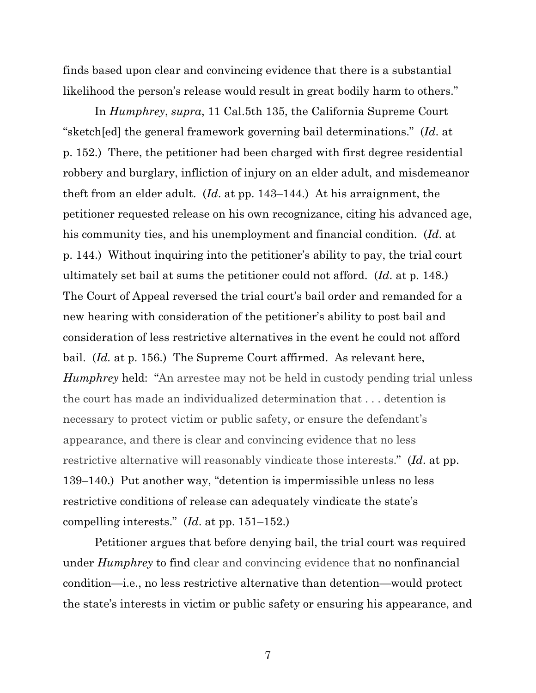finds based upon clear and convincing evidence that there is a substantial likelihood the person's release would result in great bodily harm to others."

In *Humphrey*, *supra*, 11 Cal.5th 135, the California Supreme Court "sketch[ed] the general framework governing bail determinations." (*Id*. at p. 152.) There, the petitioner had been charged with first degree residential robbery and burglary, infliction of injury on an elder adult, and misdemeanor theft from an elder adult. (*Id*. at pp. 143–144.) At his arraignment, the petitioner requested release on his own recognizance, citing his advanced age, his community ties, and his unemployment and financial condition. (*Id*. at p. 144.) Without inquiring into the petitioner's ability to pay, the trial court ultimately set bail at sums the petitioner could not afford. (*Id*. at p. 148.) The Court of Appeal reversed the trial court's bail order and remanded for a new hearing with consideration of the petitioner's ability to post bail and consideration of less restrictive alternatives in the event he could not afford bail. (*Id.* at p. 156.) The Supreme Court affirmed. As relevant here, *Humphrey* held: "An arrestee may not be held in custody pending trial unless the court has made an individualized determination that . . . detention is necessary to protect victim or public safety, or ensure the defendant's appearance, and there is clear and convincing evidence that no less restrictive alternative will reasonably vindicate those interests." (*Id*. at pp. 139–140.) Put another way, "detention is impermissible unless no less restrictive conditions of release can adequately vindicate the state's compelling interests." (*Id*. at pp. 151–152.)

Petitioner argues that before denying bail, the trial court was required under *Humphrey* to find clear and convincing evidence that no nonfinancial condition—i.e., no less restrictive alternative than detention—would protect the state's interests in victim or public safety or ensuring his appearance, and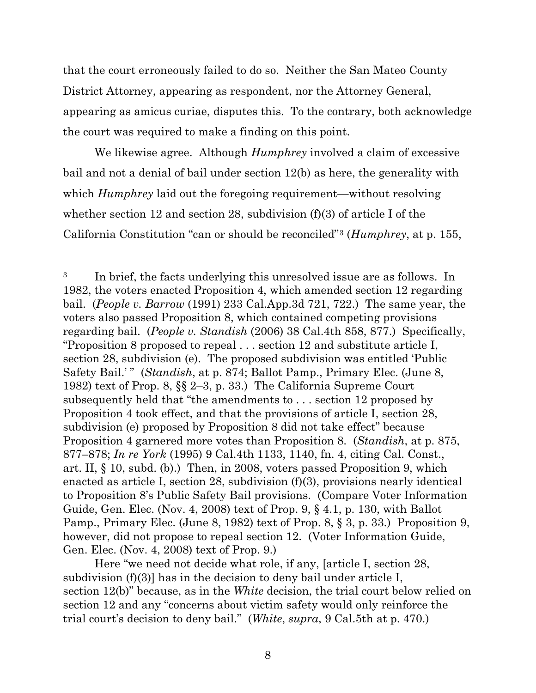that the court erroneously failed to do so. Neither the San Mateo County District Attorney, appearing as respondent, nor the Attorney General, appearing as amicus curiae, disputes this. To the contrary, both acknowledge the court was required to make a finding on this point.

We likewise agree. Although *Humphrey* involved a claim of excessive bail and not a denial of bail under section 12(b) as here, the generality with which *Humphrey* laid out the foregoing requirement—without resolving whether section 12 and section 28, subdivision (f)(3) of article I of the California Constitution "can or should be reconciled"[3](#page-7-0) (*Humphrey*, at p. 155,

Here "we need not decide what role, if any, [article I, section 28, subdivision (f)(3)] has in the decision to deny bail under article I, section 12(b)" because, as in the *White* decision, the trial court below relied on section 12 and any "concerns about victim safety would only reinforce the trial court's decision to deny bail." (*White*, *supra*, 9 Cal.5th at p. 470.)

<span id="page-7-0"></span><sup>&</sup>lt;sup>3</sup> In brief, the facts underlying this unresolved issue are as follows. In 1982, the voters enacted Proposition 4, which amended section 12 regarding bail. (*People v. Barrow* (1991) 233 Cal.App.3d 721, 722.) The same year, the voters also passed Proposition 8, which contained competing provisions regarding bail. (*People v. Standish* (2006) 38 Cal.4th 858, 877.) Specifically, "Proposition 8 proposed to repeal . . . section 12 and substitute article I, section 28, subdivision (e). The proposed subdivision was entitled 'Public Safety Bail.'" (*Standish*, at p. 874; Ballot Pamp., Primary Elec. (June 8, 1982) text of Prop. 8, §§ 2–3, p. 33.) The California Supreme Court subsequently held that "the amendments to . . . section 12 proposed by Proposition 4 took effect, and that the provisions of article I, section 28, subdivision (e) proposed by Proposition 8 did not take effect" because Proposition 4 garnered more votes than Proposition 8. (*Standish*, at p. 875, 877–878; *In re York* (1995) 9 Cal.4th 1133, 1140, fn. 4, citing Cal. Const., art. II, § 10, subd. (b).) Then, in 2008, voters passed Proposition 9, which enacted as article I, section 28, subdivision (f)(3), provisions nearly identical to Proposition 8's Public Safety Bail provisions. (Compare Voter Information Guide, Gen. Elec. (Nov. 4, 2008) text of Prop. 9, § 4.1, p. 130, with Ballot Pamp., Primary Elec. (June 8, 1982) text of Prop. 8, § 3, p. 33.) Proposition 9, however, did not propose to repeal section 12. (Voter Information Guide, Gen. Elec. (Nov. 4, 2008) text of Prop. 9.)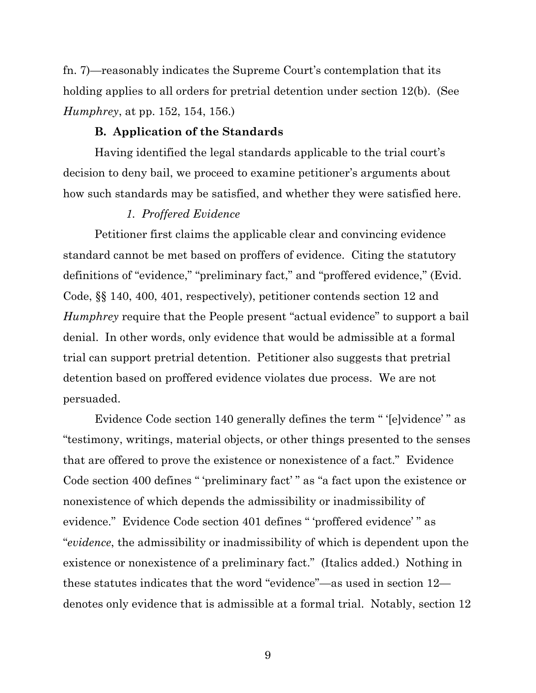fn. 7)—reasonably indicates the Supreme Court's contemplation that its holding applies to all orders for pretrial detention under section 12(b). (See *Humphrey*, at pp. 152, 154, 156.)

#### **B. Application of the Standards**

Having identified the legal standards applicable to the trial court's decision to deny bail, we proceed to examine petitioner's arguments about how such standards may be satisfied, and whether they were satisfied here.

## *1. Proffered Evidence*

Petitioner first claims the applicable clear and convincing evidence standard cannot be met based on proffers of evidence. Citing the statutory definitions of "evidence," "preliminary fact," and "proffered evidence," (Evid. Code, §§ 140, 400, 401, respectively), petitioner contends section 12 and *Humphrey* require that the People present "actual evidence" to support a bail denial. In other words, only evidence that would be admissible at a formal trial can support pretrial detention. Petitioner also suggests that pretrial detention based on proffered evidence violates due process. We are not persuaded.

Evidence Code section 140 generally defines the term " '[e]vidence' " as "testimony, writings, material objects, or other things presented to the senses that are offered to prove the existence or nonexistence of a fact." Evidence Code section 400 defines " 'preliminary fact' " as "a fact upon the existence or nonexistence of which depends the admissibility or inadmissibility of evidence." Evidence Code section 401 defines " 'proffered evidence' " as "*evidence*, the admissibility or inadmissibility of which is dependent upon the existence or nonexistence of a preliminary fact." (Italics added.) Nothing in these statutes indicates that the word "evidence"—as used in section 12 denotes only evidence that is admissible at a formal trial. Notably, section 12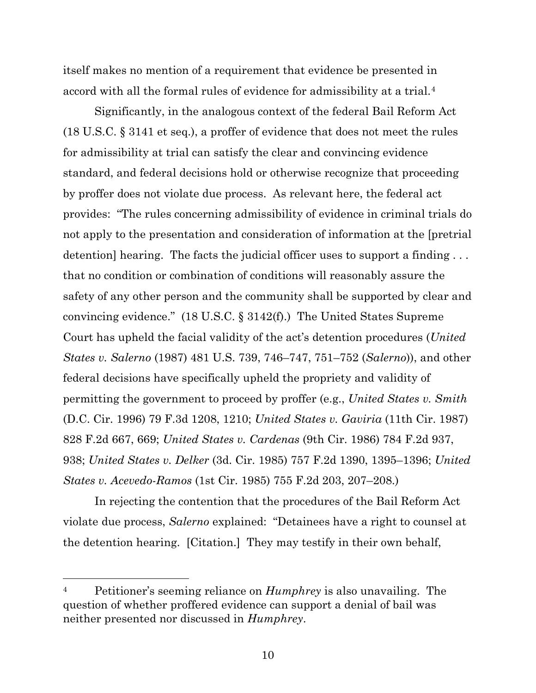itself makes no mention of a requirement that evidence be presented in accord with all the formal rules of evidence for admissibility at a trial.<sup>[4](#page-9-0)</sup>

Significantly, in the analogous context of the federal Bail Reform Act (18 U.S.C. § 3141 et seq.), a proffer of evidence that does not meet the rules for admissibility at trial can satisfy the clear and convincing evidence standard, and federal decisions hold or otherwise recognize that proceeding by proffer does not violate due process. As relevant here, the federal act provides: "The rules concerning admissibility of evidence in criminal trials do not apply to the presentation and consideration of information at the [pretrial detention] hearing. The facts the judicial officer uses to support a finding . . . that no condition or combination of conditions will reasonably assure the safety of any other person and the community shall be supported by clear and convincing evidence." (18 U.S.C. § 3142(f).) The United States Supreme Court has upheld the facial validity of the act's detention procedures (*United States v. Salerno* (1987) 481 U.S. 739, 746–747, 751–752 (*Salerno*)), and other federal decisions have specifically upheld the propriety and validity of permitting the government to proceed by proffer (e.g., *United States v. Smith* (D.C. Cir. 1996) 79 F.3d 1208, 1210; *United States v. Gaviria* (11th Cir. 1987) 828 F.2d 667, 669; *United States v. Cardenas* (9th Cir. 1986) 784 F.2d 937, 938; *United States v. Delker* (3d. Cir. 1985) 757 F.2d 1390, 1395–1396; *United States v. Acevedo-Ramos* (1st Cir. 1985) 755 F.2d 203, 207–208.)

In rejecting the contention that the procedures of the Bail Reform Act violate due process, *Salerno* explained: "Detainees have a right to counsel at the detention hearing. [Citation.] They may testify in their own behalf,

<span id="page-9-0"></span><sup>4</sup> Petitioner's seeming reliance on *Humphrey* is also unavailing. The question of whether proffered evidence can support a denial of bail was neither presented nor discussed in *Humphrey*.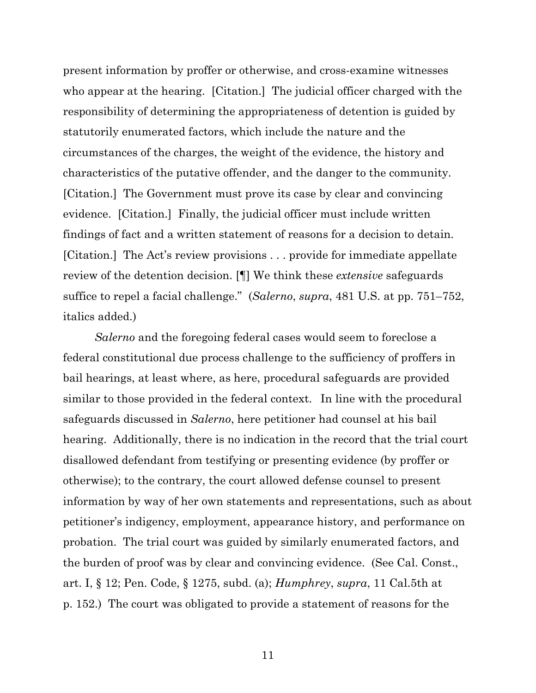present information by proffer or otherwise, and cross-examine witnesses who appear at the hearing. [Citation.] The judicial officer charged with the responsibility of determining the appropriateness of detention is guided by statutorily enumerated factors, which include the nature and the circumstances of the charges, the weight of the evidence, the history and characteristics of the putative offender, and the danger to the community. [Citation.] The Government must prove its case by clear and convincing evidence. [Citation.] Finally, the judicial officer must include written findings of fact and a written statement of reasons for a decision to detain. [Citation.] The Act's review provisions . . . provide for immediate appellate review of the detention decision. [¶] We think these *extensive* safeguards suffice to repel a facial challenge." (*Salerno*, *supra*, 481 U.S. at pp. 751–752, italics added.)

*Salerno* and the foregoing federal cases would seem to foreclose a federal constitutional due process challenge to the sufficiency of proffers in bail hearings, at least where, as here, procedural safeguards are provided similar to those provided in the federal context. In line with the procedural safeguards discussed in *Salerno*, here petitioner had counsel at his bail hearing. Additionally, there is no indication in the record that the trial court disallowed defendant from testifying or presenting evidence (by proffer or otherwise); to the contrary, the court allowed defense counsel to present information by way of her own statements and representations, such as about petitioner's indigency, employment, appearance history, and performance on probation. The trial court was guided by similarly enumerated factors, and the burden of proof was by clear and convincing evidence. (See Cal. Const., art. I, § 12; Pen. Code, § 1275, subd. (a); *Humphrey*, *supra*, 11 Cal.5th at p. 152.) The court was obligated to provide a statement of reasons for the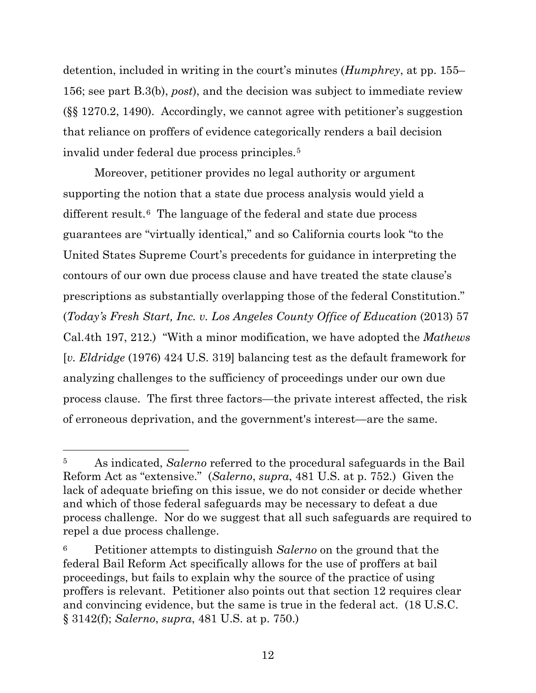detention, included in writing in the court's minutes (*Humphrey*, at pp. 155– 156; see part B.3(b), *post*), and the decision was subject to immediate review (§§ 1270.2, 1490). Accordingly, we cannot agree with petitioner's suggestion that reliance on proffers of evidence categorically renders a bail decision invalid under federal due process principles.[5](#page-11-0)

Moreover, petitioner provides no legal authority or argument supporting the notion that a state due process analysis would yield a different result.<sup>6</sup> The language of the federal and state due process guarantees are "virtually identical," and so California courts look "to the United States Supreme Court's precedents for guidance in interpreting the contours of our own due process clause and have treated the state clause's prescriptions as substantially overlapping those of the federal Constitution." (*Today's Fresh Start, Inc. v. Los Angeles County Office of Education* (2013) 57 Cal.4th 197, 212.) "With a minor modification, we have adopted the *Mathews* [*v. Eldridge* (1976) 424 U.S. 319] balancing test as the default framework for analyzing challenges to the sufficiency of proceedings under our own due process clause. The first three factors—the private interest affected, the risk of erroneous deprivation, and the government's interest—are the same.

<span id="page-11-0"></span><sup>5</sup> As indicated, *Salerno* referred to the procedural safeguards in the Bail Reform Act as "extensive." (*Salerno*, *supra*, 481 U.S. at p. 752.) Given the lack of adequate briefing on this issue, we do not consider or decide whether and which of those federal safeguards may be necessary to defeat a due process challenge. Nor do we suggest that all such safeguards are required to repel a due process challenge.

<span id="page-11-1"></span><sup>6</sup> Petitioner attempts to distinguish *Salerno* on the ground that the federal Bail Reform Act specifically allows for the use of proffers at bail proceedings, but fails to explain why the source of the practice of using proffers is relevant. Petitioner also points out that section 12 requires clear and convincing evidence, but the same is true in the federal act. (18 U.S.C. § 3142(f); *Salerno*, *supra*, 481 U.S. at p. 750.)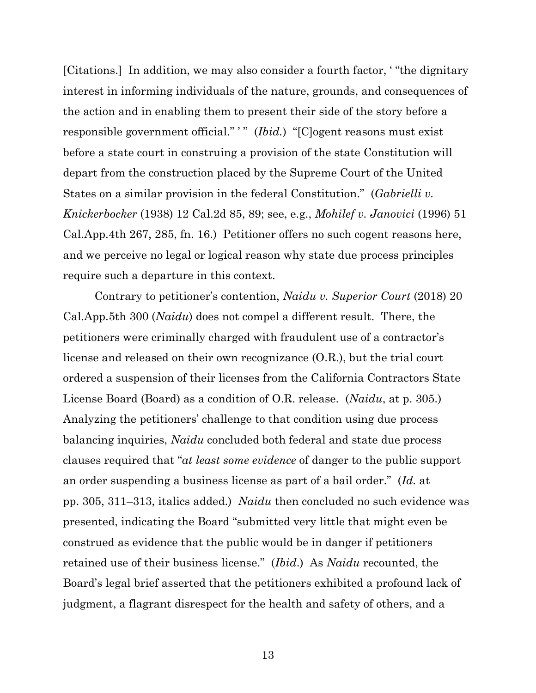[Citations.] In addition, we may also consider a fourth factor, ' "the dignitary interest in informing individuals of the nature, grounds, and consequences of the action and in enabling them to present their side of the story before a responsible government official." " (*Ibid.*) "[C]ogent reasons must exist before a state court in construing a provision of the state Constitution will depart from the construction placed by the Supreme Court of the United States on a similar provision in the federal Constitution." (*Gabrielli v. Knickerbocker* (1938) 12 Cal.2d 85, 89; see, e.g., *Mohilef v. Janovici* (1996) 51 Cal.App.4th 267, 285, fn. 16.) Petitioner offers no such cogent reasons here, and we perceive no legal or logical reason why state due process principles require such a departure in this context.

Contrary to petitioner's contention, *Naidu v. Superior Court* (2018) 20 Cal.App.5th 300 (*Naidu*) does not compel a different result. There, the petitioners were criminally charged with fraudulent use of a contractor's license and released on their own recognizance (O.R.), but the trial court ordered a suspension of their licenses from the California Contractors State License Board (Board) as a condition of O.R. release. (*Naidu*, at p. 305.) Analyzing the petitioners' challenge to that condition using due process balancing inquiries, *Naidu* concluded both federal and state due process clauses required that "*at least some evidence* of danger to the public support an order suspending a business license as part of a bail order." (*Id.* at pp. 305, 311–313, italics added.) *Naidu* then concluded no such evidence was presented, indicating the Board "submitted very little that might even be construed as evidence that the public would be in danger if petitioners retained use of their business license." (*Ibid*.) As *Naidu* recounted, the Board's legal brief asserted that the petitioners exhibited a profound lack of judgment, a flagrant disrespect for the health and safety of others, and a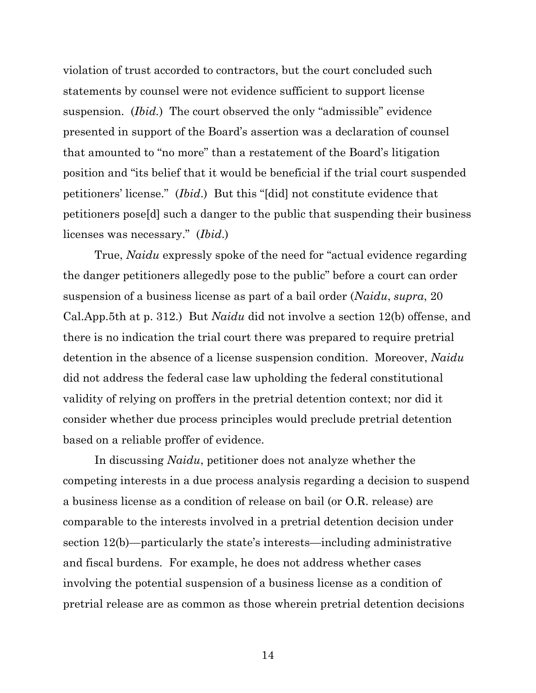violation of trust accorded to contractors, but the court concluded such statements by counsel were not evidence sufficient to support license suspension. (*Ibid.*) The court observed the only "admissible" evidence presented in support of the Board's assertion was a declaration of counsel that amounted to "no more" than a restatement of the Board's litigation position and "its belief that it would be beneficial if the trial court suspended petitioners' license." (*Ibid*.) But this "[did] not constitute evidence that petitioners pose[d] such a danger to the public that suspending their business licenses was necessary." (*Ibid*.)

True, *Naidu* expressly spoke of the need for "actual evidence regarding the danger petitioners allegedly pose to the public" before a court can order suspension of a business license as part of a bail order (*Naidu*, *supra*, 20 Cal.App.5th at p. 312.) But *Naidu* did not involve a section 12(b) offense, and there is no indication the trial court there was prepared to require pretrial detention in the absence of a license suspension condition. Moreover, *Naidu* did not address the federal case law upholding the federal constitutional validity of relying on proffers in the pretrial detention context; nor did it consider whether due process principles would preclude pretrial detention based on a reliable proffer of evidence.

In discussing *Naidu*, petitioner does not analyze whether the competing interests in a due process analysis regarding a decision to suspend a business license as a condition of release on bail (or O.R. release) are comparable to the interests involved in a pretrial detention decision under section 12(b)—particularly the state's interests—including administrative and fiscal burdens. For example, he does not address whether cases involving the potential suspension of a business license as a condition of pretrial release are as common as those wherein pretrial detention decisions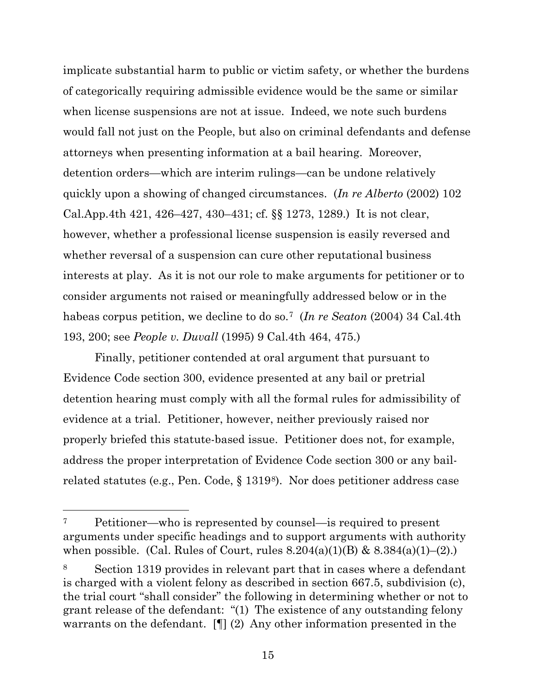implicate substantial harm to public or victim safety, or whether the burdens of categorically requiring admissible evidence would be the same or similar when license suspensions are not at issue. Indeed, we note such burdens would fall not just on the People, but also on criminal defendants and defense attorneys when presenting information at a bail hearing. Moreover, detention orders—which are interim rulings—can be undone relatively quickly upon a showing of changed circumstances. (*In re Alberto* (2002) 102 Cal.App.4th 421, 426–427, 430–431; cf. §§ 1273, 1289.) It is not clear, however, whether a professional license suspension is easily reversed and whether reversal of a suspension can cure other reputational business interests at play. As it is not our role to make arguments for petitioner or to consider arguments not raised or meaningfully addressed below or in the habeas corpus petition, we decline to do so.[7](#page-14-0) (*In re Seaton* (2004) 34 Cal.4th 193, 200; see *People v. Duvall* (1995) 9 Cal.4th 464, 475.)

Finally, petitioner contended at oral argument that pursuant to Evidence Code section 300, evidence presented at any bail or pretrial detention hearing must comply with all the formal rules for admissibility of evidence at a trial. Petitioner, however, neither previously raised nor properly briefed this statute-based issue. Petitioner does not, for example, address the proper interpretation of Evidence Code section 300 or any bailrelated statutes (e.g., Pen. Code, § 1319[8\)](#page-14-1). Nor does petitioner address case

<span id="page-14-0"></span><sup>7</sup> Petitioner—who is represented by counsel—is required to present arguments under specific headings and to support arguments with authority when possible. (Cal. Rules of Court, rules  $8.204(a)(1)(B)$  &  $8.384(a)(1)-(2)$ .)

<span id="page-14-1"></span><sup>8</sup> Section 1319 provides in relevant part that in cases where a defendant is charged with a violent felony as described in section 667.5, subdivision (c), the trial court "shall consider" the following in determining whether or not to grant release of the defendant: "(1) The existence of any outstanding felony warrants on the defendant. [¶] (2) Any other information presented in the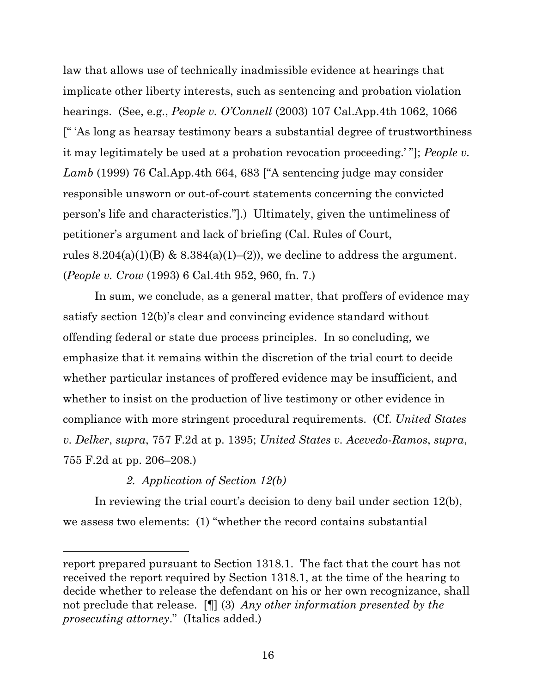law that allows use of technically inadmissible evidence at hearings that implicate other liberty interests, such as sentencing and probation violation hearings. (See, e.g., *People v. O'Connell* (2003) 107 Cal.App.4th 1062, 1066 [" 'As long as hearsay testimony bears a substantial degree of trustworthiness it may legitimately be used at a probation revocation proceeding.' "]; *People v. Lamb* (1999) 76 Cal.App.4th 664, 683 ["A sentencing judge may consider responsible unsworn or out-of-court statements concerning the convicted person's life and characteristics."].) Ultimately, given the untimeliness of petitioner's argument and lack of briefing (Cal. Rules of Court, rules  $8.204(a)(1)(B)$  &  $8.384(a)(1)–(2)$ , we decline to address the argument. (*People v. Crow* (1993) 6 Cal.4th 952, 960, fn. 7.)

In sum, we conclude, as a general matter, that proffers of evidence may satisfy section 12(b)'s clear and convincing evidence standard without offending federal or state due process principles. In so concluding, we emphasize that it remains within the discretion of the trial court to decide whether particular instances of proffered evidence may be insufficient, and whether to insist on the production of live testimony or other evidence in compliance with more stringent procedural requirements. (Cf. *United States v. Delker*, *supra*, 757 F.2d at p. 1395; *United States v. Acevedo-Ramos*, *supra*, 755 F.2d at pp. 206–208.)

## *2. Application of Section 12(b)*

In reviewing the trial court's decision to deny bail under section 12(b), we assess two elements: (1) "whether the record contains substantial

report prepared pursuant to Section 1318.1. The fact that the court has not received the report required by Section 1318.1, at the time of the hearing to decide whether to release the defendant on his or her own recognizance, shall not preclude that release. [¶] (3) *Any other information presented by the prosecuting attorney*." (Italics added.)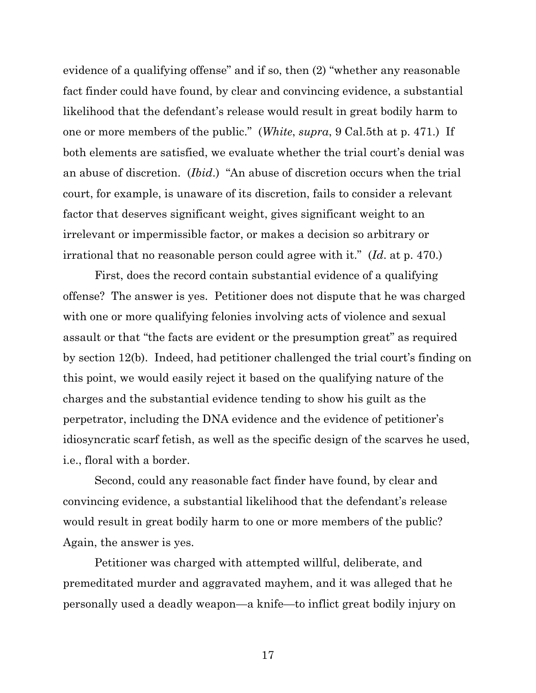evidence of a qualifying offense" and if so, then (2) "whether any reasonable fact finder could have found, by clear and convincing evidence, a substantial likelihood that the defendant's release would result in great bodily harm to one or more members of the public." (*White*, *supra*, 9 Cal.5th at p. 471.) If both elements are satisfied, we evaluate whether the trial court's denial was an abuse of discretion. (*Ibid*.) "An abuse of discretion occurs when the trial court, for example, is unaware of its discretion, fails to consider a relevant factor that deserves significant weight, gives significant weight to an irrelevant or impermissible factor, or makes a decision so arbitrary or irrational that no reasonable person could agree with it." (*Id*. at p. 470.)

First, does the record contain substantial evidence of a qualifying offense? The answer is yes. Petitioner does not dispute that he was charged with one or more qualifying felonies involving acts of violence and sexual assault or that "the facts are evident or the presumption great" as required by section 12(b). Indeed, had petitioner challenged the trial court's finding on this point, we would easily reject it based on the qualifying nature of the charges and the substantial evidence tending to show his guilt as the perpetrator, including the DNA evidence and the evidence of petitioner's idiosyncratic scarf fetish, as well as the specific design of the scarves he used, i.e., floral with a border.

Second, could any reasonable fact finder have found, by clear and convincing evidence, a substantial likelihood that the defendant's release would result in great bodily harm to one or more members of the public? Again, the answer is yes.

Petitioner was charged with attempted willful, deliberate, and premeditated murder and aggravated mayhem, and it was alleged that he personally used a deadly weapon—a knife—to inflict great bodily injury on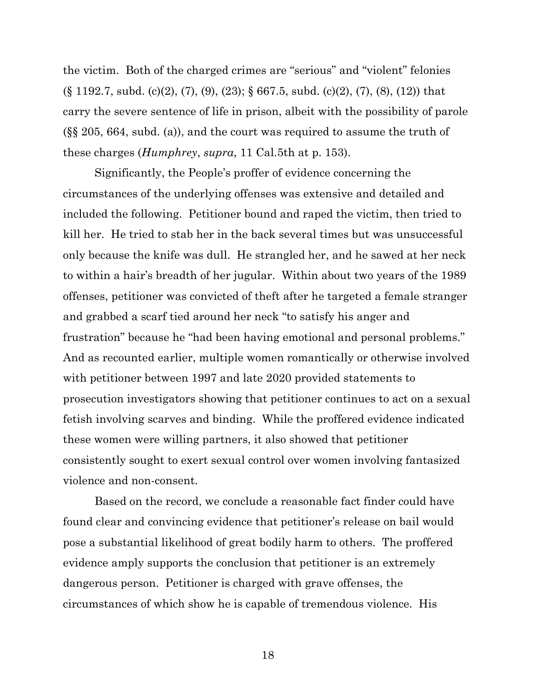the victim. Both of the charged crimes are "serious" and "violent" felonies (§ 1192.7, subd. (c)(2), (7), (9), (23); § 667.5, subd. (c)(2), (7), (8), (12)) that carry the severe sentence of life in prison, albeit with the possibility of parole (§§ 205, 664, subd. (a)), and the court was required to assume the truth of these charges (*Humphrey*, *supra*, 11 Cal.5th at p. 153).

Significantly, the People's proffer of evidence concerning the circumstances of the underlying offenses was extensive and detailed and included the following. Petitioner bound and raped the victim, then tried to kill her. He tried to stab her in the back several times but was unsuccessful only because the knife was dull. He strangled her, and he sawed at her neck to within a hair's breadth of her jugular. Within about two years of the 1989 offenses, petitioner was convicted of theft after he targeted a female stranger and grabbed a scarf tied around her neck "to satisfy his anger and frustration" because he "had been having emotional and personal problems." And as recounted earlier, multiple women romantically or otherwise involved with petitioner between 1997 and late 2020 provided statements to prosecution investigators showing that petitioner continues to act on a sexual fetish involving scarves and binding. While the proffered evidence indicated these women were willing partners, it also showed that petitioner consistently sought to exert sexual control over women involving fantasized violence and non-consent.

Based on the record, we conclude a reasonable fact finder could have found clear and convincing evidence that petitioner's release on bail would pose a substantial likelihood of great bodily harm to others. The proffered evidence amply supports the conclusion that petitioner is an extremely dangerous person. Petitioner is charged with grave offenses, the circumstances of which show he is capable of tremendous violence. His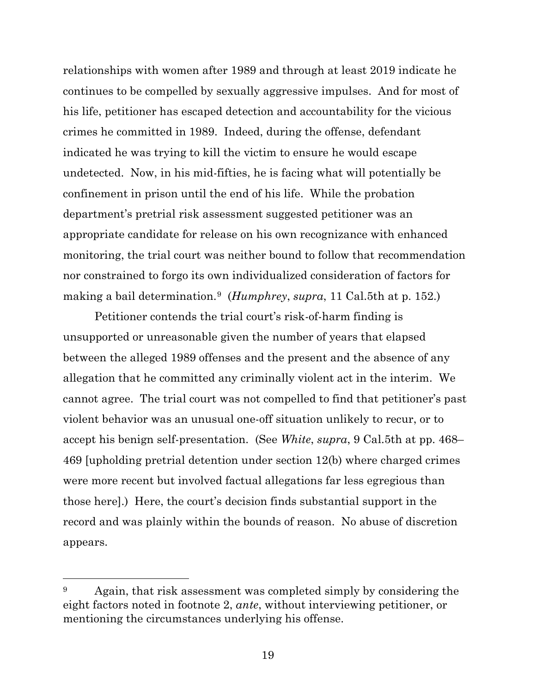relationships with women after 1989 and through at least 2019 indicate he continues to be compelled by sexually aggressive impulses. And for most of his life, petitioner has escaped detection and accountability for the vicious crimes he committed in 1989. Indeed, during the offense, defendant indicated he was trying to kill the victim to ensure he would escape undetected. Now, in his mid-fifties, he is facing what will potentially be confinement in prison until the end of his life. While the probation department's pretrial risk assessment suggested petitioner was an appropriate candidate for release on his own recognizance with enhanced monitoring, the trial court was neither bound to follow that recommendation nor constrained to forgo its own individualized consideration of factors for making a bail determination.[9](#page-18-0) (*Humphrey*, *supra*, 11 Cal.5th at p. 152.)

Petitioner contends the trial court's risk-of-harm finding is unsupported or unreasonable given the number of years that elapsed between the alleged 1989 offenses and the present and the absence of any allegation that he committed any criminally violent act in the interim. We cannot agree. The trial court was not compelled to find that petitioner's past violent behavior was an unusual one-off situation unlikely to recur, or to accept his benign self-presentation. (See *White*, *supra*, 9 Cal.5th at pp. 468– 469 [upholding pretrial detention under section 12(b) where charged crimes were more recent but involved factual allegations far less egregious than those here].) Here, the court's decision finds substantial support in the record and was plainly within the bounds of reason. No abuse of discretion appears.

<span id="page-18-0"></span><sup>&</sup>lt;sup>9</sup> Again, that risk assessment was completed simply by considering the eight factors noted in footnote 2, *ante*, without interviewing petitioner, or mentioning the circumstances underlying his offense.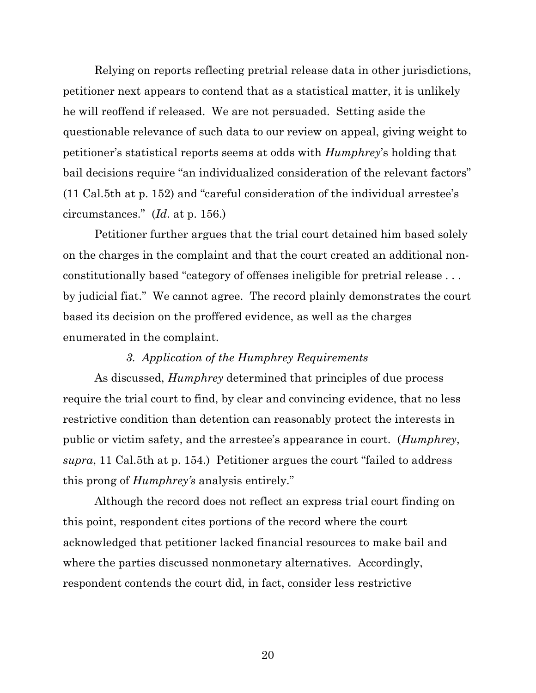Relying on reports reflecting pretrial release data in other jurisdictions, petitioner next appears to contend that as a statistical matter, it is unlikely he will reoffend if released. We are not persuaded. Setting aside the questionable relevance of such data to our review on appeal, giving weight to petitioner's statistical reports seems at odds with *Humphrey*'s holding that bail decisions require "an individualized consideration of the relevant factors" (11 Cal.5th at p. 152) and "careful consideration of the individual arrestee's circumstances." (*Id*. at p. 156.)

Petitioner further argues that the trial court detained him based solely on the charges in the complaint and that the court created an additional nonconstitutionally based "category of offenses ineligible for pretrial release . . . by judicial fiat." We cannot agree. The record plainly demonstrates the court based its decision on the proffered evidence, as well as the charges enumerated in the complaint.

## *3. Application of the Humphrey Requirements*

As discussed, *Humphrey* determined that principles of due process require the trial court to find, by clear and convincing evidence, that no less restrictive condition than detention can reasonably protect the interests in public or victim safety, and the arrestee's appearance in court. (*Humphrey*, *supra*, 11 Cal.5th at p. 154.) Petitioner argues the court "failed to address this prong of *Humphrey's* analysis entirely."

Although the record does not reflect an express trial court finding on this point, respondent cites portions of the record where the court acknowledged that petitioner lacked financial resources to make bail and where the parties discussed nonmonetary alternatives. Accordingly, respondent contends the court did, in fact, consider less restrictive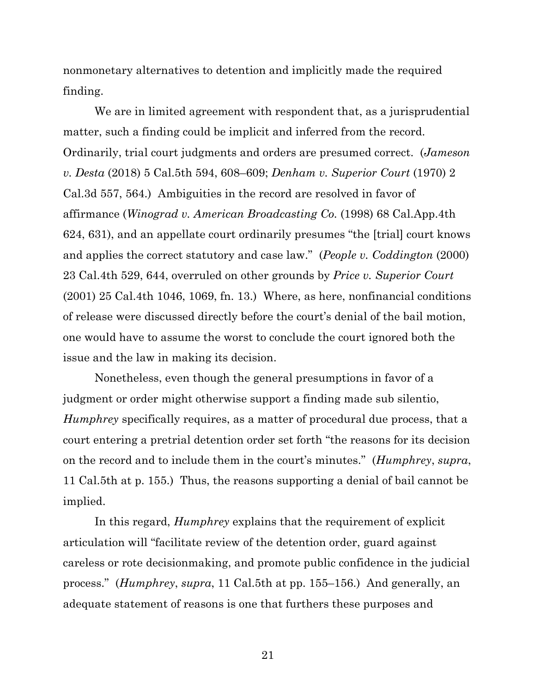nonmonetary alternatives to detention and implicitly made the required finding.

We are in limited agreement with respondent that, as a jurisprudential matter, such a finding could be implicit and inferred from the record. Ordinarily, trial court judgments and orders are presumed correct. (*Jameson v. Desta* (2018) 5 Cal.5th 594, 608–609; *Denham v. Superior Court* (1970) 2 Cal.3d 557, 564.) Ambiguities in the record are resolved in favor of affirmance (*Winograd v. American Broadcasting Co.* (1998) 68 Cal.App.4th 624, 631), and an appellate court ordinarily presumes "the [trial] court knows and applies the correct statutory and case law." (*People v. Coddington* (2000) 23 Cal.4th 529, 644, overruled on other grounds by *Price v. Superior Court* (2001) 25 Cal.4th 1046, 1069, fn. 13.) Where, as here, nonfinancial conditions of release were discussed directly before the court's denial of the bail motion, one would have to assume the worst to conclude the court ignored both the issue and the law in making its decision.

Nonetheless, even though the general presumptions in favor of a judgment or order might otherwise support a finding made sub silentio, *Humphrey* specifically requires, as a matter of procedural due process, that a court entering a pretrial detention order set forth "the reasons for its decision on the record and to include them in the court's minutes." (*Humphrey*, *supra*, 11 Cal.5th at p. 155.) Thus, the reasons supporting a denial of bail cannot be implied.

In this regard, *Humphrey* explains that the requirement of explicit articulation will "facilitate review of the detention order, guard against careless or rote decisionmaking, and promote public confidence in the judicial process." (*Humphrey*, *supra*, 11 Cal.5th at pp. 155–156.) And generally, an adequate statement of reasons is one that furthers these purposes and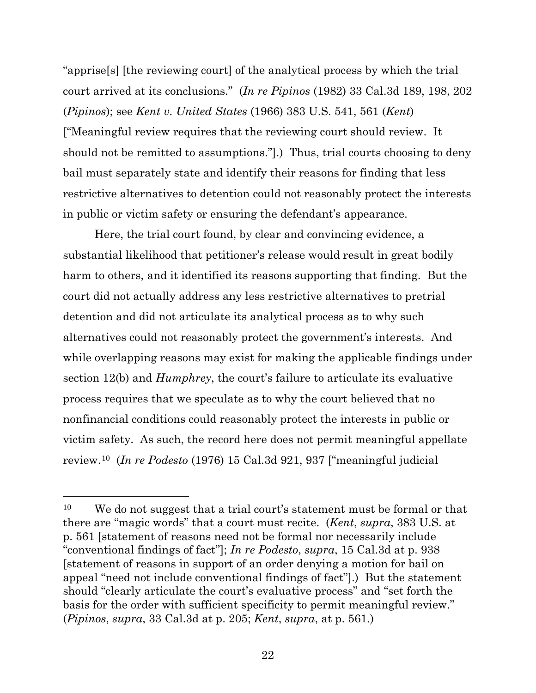"apprise[s] [the reviewing court] of the analytical process by which the trial court arrived at its conclusions." (*In re Pipinos* (1982) 33 Cal.3d 189, 198, 202 (*Pipinos*); see *Kent v. United States* (1966) 383 U.S. 541, 561 (*Kent*) ["Meaningful review requires that the reviewing court should review. It should not be remitted to assumptions."].) Thus, trial courts choosing to deny bail must separately state and identify their reasons for finding that less restrictive alternatives to detention could not reasonably protect the interests in public or victim safety or ensuring the defendant's appearance.

Here, the trial court found, by clear and convincing evidence, a substantial likelihood that petitioner's release would result in great bodily harm to others, and it identified its reasons supporting that finding. But the court did not actually address any less restrictive alternatives to pretrial detention and did not articulate its analytical process as to why such alternatives could not reasonably protect the government's interests. And while overlapping reasons may exist for making the applicable findings under section 12(b) and *Humphrey*, the court's failure to articulate its evaluative process requires that we speculate as to why the court believed that no nonfinancial conditions could reasonably protect the interests in public or victim safety. As such, the record here does not permit meaningful appellate review.[10](#page-21-0) (*In re Podesto* (1976) 15 Cal.3d 921, 937 ["meaningful judicial

<span id="page-21-0"></span><sup>&</sup>lt;sup>10</sup> We do not suggest that a trial court's statement must be formal or that there are "magic words" that a court must recite. (*Kent*, *supra*, 383 U.S. at p. 561 [statement of reasons need not be formal nor necessarily include "conventional findings of fact"]; *In re Podesto*, *supra*, 15 Cal.3d at p. 938 [statement of reasons in support of an order denying a motion for bail on appeal "need not include conventional findings of fact"].) But the statement should "clearly articulate the court's evaluative process" and "set forth the basis for the order with sufficient specificity to permit meaningful review." (*Pipinos*, *supra*, 33 Cal.3d at p. 205; *Kent*, *supra*, at p. 561.)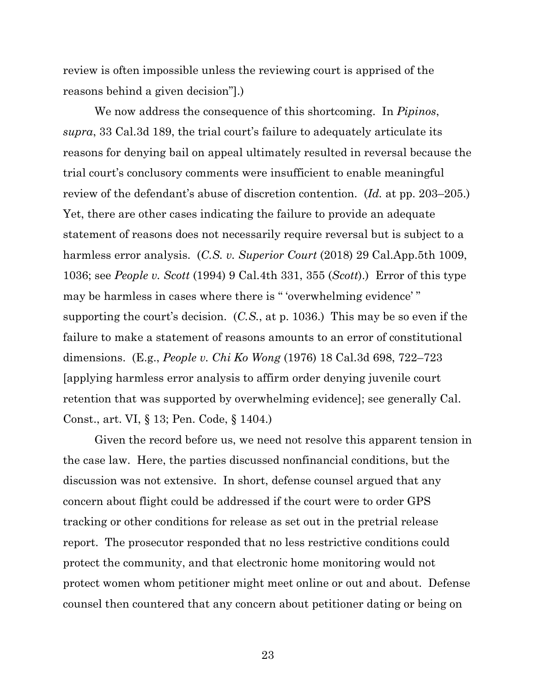review is often impossible unless the reviewing court is apprised of the reasons behind a given decision"].)

We now address the consequence of this shortcoming. In *Pipinos*, *supra*, 33 Cal.3d 189, the trial court's failure to adequately articulate its reasons for denying bail on appeal ultimately resulted in reversal because the trial court's conclusory comments were insufficient to enable meaningful review of the defendant's abuse of discretion contention. (*Id.* at pp. 203–205.) Yet, there are other cases indicating the failure to provide an adequate statement of reasons does not necessarily require reversal but is subject to a harmless error analysis. (*C.S. v. Superior Court* (2018) 29 Cal.App.5th 1009, 1036; see *People v. Scott* (1994) 9 Cal.4th 331, 355 (*Scott*).) Error of this type may be harmless in cases where there is " 'overwhelming evidence' " supporting the court's decision. (*C.S.*, at p. 1036.) This may be so even if the failure to make a statement of reasons amounts to an error of constitutional dimensions. (E.g., *People v. Chi Ko Wong* (1976) 18 Cal.3d 698, 722–723 [applying harmless error analysis to affirm order denying juvenile court retention that was supported by overwhelming evidence]; see generally Cal. Const., art. VI, § 13; Pen. Code, § 1404.)

Given the record before us, we need not resolve this apparent tension in the case law. Here, the parties discussed nonfinancial conditions, but the discussion was not extensive. In short, defense counsel argued that any concern about flight could be addressed if the court were to order GPS tracking or other conditions for release as set out in the pretrial release report. The prosecutor responded that no less restrictive conditions could protect the community, and that electronic home monitoring would not protect women whom petitioner might meet online or out and about. Defense counsel then countered that any concern about petitioner dating or being on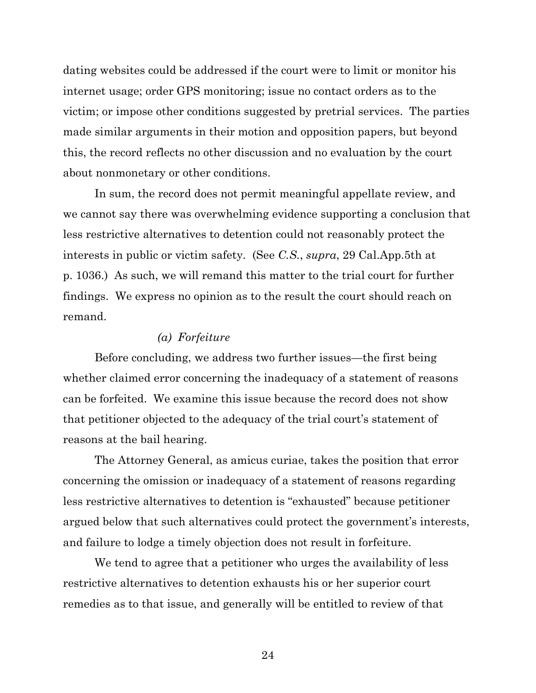dating websites could be addressed if the court were to limit or monitor his internet usage; order GPS monitoring; issue no contact orders as to the victim; or impose other conditions suggested by pretrial services. The parties made similar arguments in their motion and opposition papers, but beyond this, the record reflects no other discussion and no evaluation by the court about nonmonetary or other conditions.

In sum, the record does not permit meaningful appellate review, and we cannot say there was overwhelming evidence supporting a conclusion that less restrictive alternatives to detention could not reasonably protect the interests in public or victim safety. (See *C.S.*, *supra*, 29 Cal.App.5th at p. 1036.) As such, we will remand this matter to the trial court for further findings. We express no opinion as to the result the court should reach on remand.

## *(a) Forfeiture*

Before concluding, we address two further issues—the first being whether claimed error concerning the inadequacy of a statement of reasons can be forfeited. We examine this issue because the record does not show that petitioner objected to the adequacy of the trial court's statement of reasons at the bail hearing.

The Attorney General, as amicus curiae, takes the position that error concerning the omission or inadequacy of a statement of reasons regarding less restrictive alternatives to detention is "exhausted" because petitioner argued below that such alternatives could protect the government's interests, and failure to lodge a timely objection does not result in forfeiture.

We tend to agree that a petitioner who urges the availability of less restrictive alternatives to detention exhausts his or her superior court remedies as to that issue, and generally will be entitled to review of that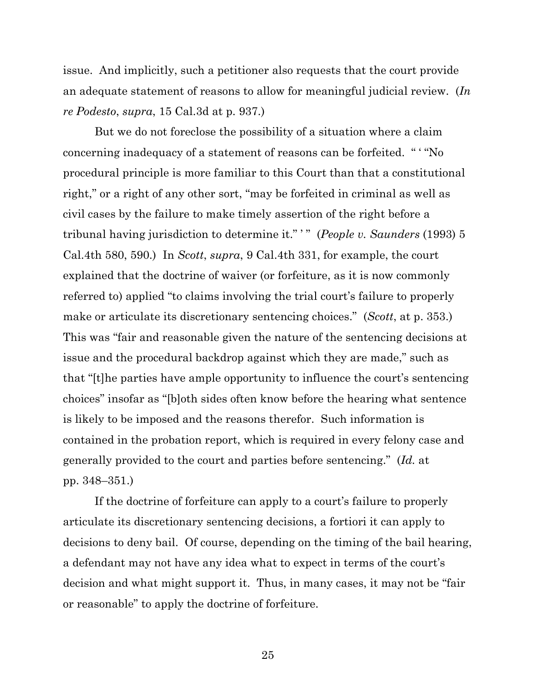issue. And implicitly, such a petitioner also requests that the court provide an adequate statement of reasons to allow for meaningful judicial review. (*In re Podesto*, *supra*, 15 Cal.3d at p. 937.)

But we do not foreclose the possibility of a situation where a claim concerning inadequacy of a statement of reasons can be forfeited. " ' "No procedural principle is more familiar to this Court than that a constitutional right," or a right of any other sort, "may be forfeited in criminal as well as civil cases by the failure to make timely assertion of the right before a tribunal having jurisdiction to determine it." ' " (*People v. Saunders* (1993) 5 Cal.4th 580, 590.) In *Scott*, *supra*, 9 Cal.4th 331, for example, the court explained that the doctrine of waiver (or forfeiture, as it is now commonly referred to) applied "to claims involving the trial court's failure to properly make or articulate its discretionary sentencing choices." (*Scott*, at p. 353.) This was "fair and reasonable given the nature of the sentencing decisions at issue and the procedural backdrop against which they are made," such as that "[t]he parties have ample opportunity to influence the court's sentencing choices" insofar as "[b]oth sides often know before the hearing what sentence is likely to be imposed and the reasons therefor. Such information is contained in the probation report, which is required in every felony case and generally provided to the court and parties before sentencing." (*Id.* at pp. 348–351.)

If the doctrine of forfeiture can apply to a court's failure to properly articulate its discretionary sentencing decisions, a fortiori it can apply to decisions to deny bail. Of course, depending on the timing of the bail hearing, a defendant may not have any idea what to expect in terms of the court's decision and what might support it. Thus, in many cases, it may not be "fair or reasonable" to apply the doctrine of forfeiture.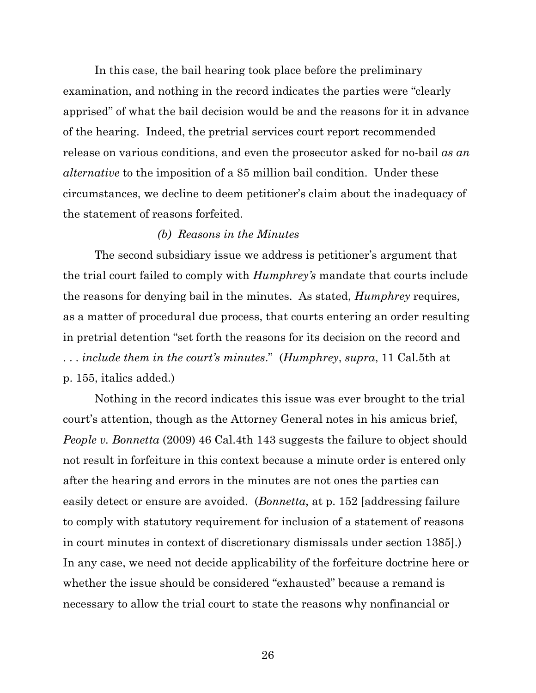In this case, the bail hearing took place before the preliminary examination, and nothing in the record indicates the parties were "clearly apprised" of what the bail decision would be and the reasons for it in advance of the hearing. Indeed, the pretrial services court report recommended release on various conditions, and even the prosecutor asked for no-bail *as an alternative* to the imposition of a \$5 million bail condition. Under these circumstances, we decline to deem petitioner's claim about the inadequacy of the statement of reasons forfeited.

## *(b) Reasons in the Minutes*

The second subsidiary issue we address is petitioner's argument that the trial court failed to comply with *Humphrey's* mandate that courts include the reasons for denying bail in the minutes. As stated, *Humphrey* requires, as a matter of procedural due process, that courts entering an order resulting in pretrial detention "set forth the reasons for its decision on the record and . . . *include them in the court's minutes*." (*Humphrey*, *supra*, 11 Cal.5th at p. 155, italics added.)

Nothing in the record indicates this issue was ever brought to the trial court's attention, though as the Attorney General notes in his amicus brief, *People v. Bonnetta* (2009) 46 Cal.4th 143 suggests the failure to object should not result in forfeiture in this context because a minute order is entered only after the hearing and errors in the minutes are not ones the parties can easily detect or ensure are avoided. (*Bonnetta*, at p. 152 [addressing failure to comply with statutory requirement for inclusion of a statement of reasons in court minutes in context of discretionary dismissals under section 1385].) In any case, we need not decide applicability of the forfeiture doctrine here or whether the issue should be considered "exhausted" because a remand is necessary to allow the trial court to state the reasons why nonfinancial or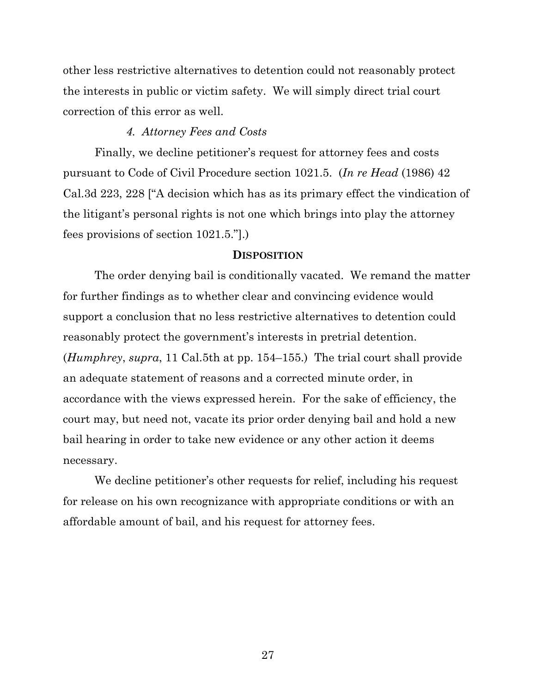other less restrictive alternatives to detention could not reasonably protect the interests in public or victim safety. We will simply direct trial court correction of this error as well.

## *4. Attorney Fees and Costs*

Finally, we decline petitioner's request for attorney fees and costs pursuant to Code of Civil Procedure section 1021.5. (*In re Head* (1986) 42 Cal.3d 223, 228 ["A decision which has as its primary effect the vindication of the litigant's personal rights is not one which brings into play the attorney fees provisions of section 1021.5."].)

#### **DISPOSITION**

The order denying bail is conditionally vacated. We remand the matter for further findings as to whether clear and convincing evidence would support a conclusion that no less restrictive alternatives to detention could reasonably protect the government's interests in pretrial detention. (*Humphrey*, *supra*, 11 Cal.5th at pp. 154–155.) The trial court shall provide an adequate statement of reasons and a corrected minute order, in accordance with the views expressed herein. For the sake of efficiency, the court may, but need not, vacate its prior order denying bail and hold a new bail hearing in order to take new evidence or any other action it deems necessary.

We decline petitioner's other requests for relief, including his request for release on his own recognizance with appropriate conditions or with an affordable amount of bail, and his request for attorney fees.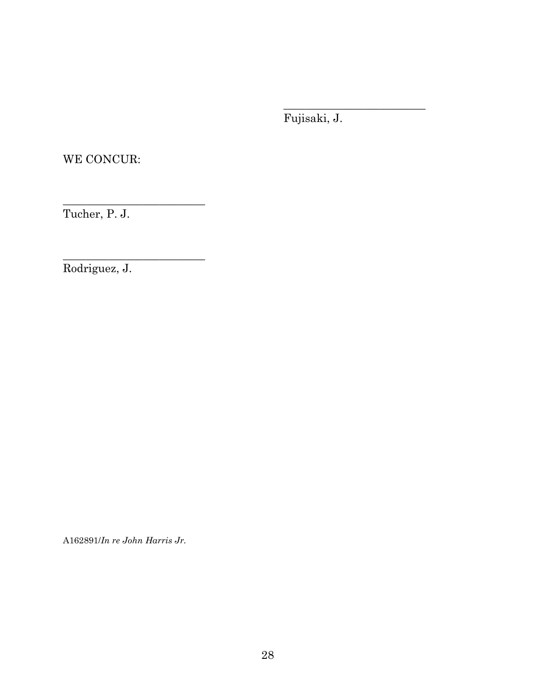Fujisaki, J.

\_\_\_\_\_\_\_\_\_\_\_\_\_\_\_\_\_\_\_\_\_\_\_\_\_

WE CONCUR:

Tucher, P. J.

\_\_\_\_\_\_\_\_\_\_\_\_\_\_\_\_\_\_\_\_\_\_\_\_\_

\_\_\_\_\_\_\_\_\_\_\_\_\_\_\_\_\_\_\_\_\_\_\_\_\_

Rodriguez, J.

A162891/*In re John Harris Jr.*